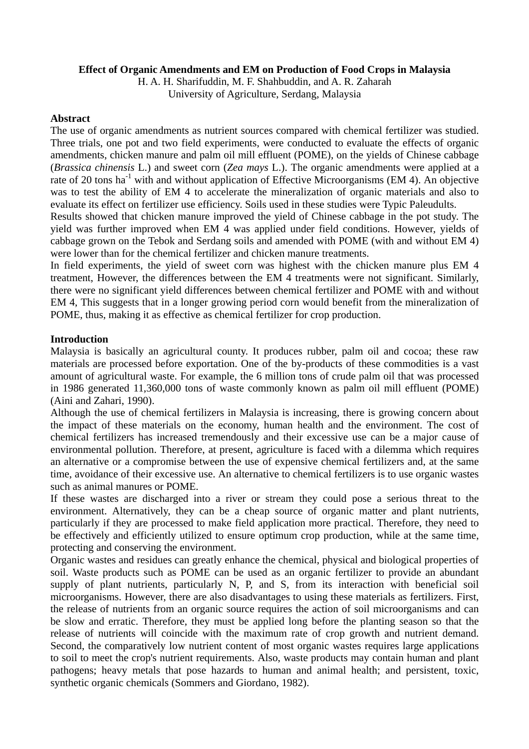## **Effect of Organic Amendments and EM on Production of Food Crops in Malaysia**

H. A. H. Sharifuddin, M. F. Shahbuddin, and A. R. Zaharah University of Agriculture, Serdang, Malaysia

## **Abstract**

The use of organic amendments as nutrient sources compared with chemical fertilizer was studied. Three trials, one pot and two field experiments, were conducted to evaluate the effects of organic amendments, chicken manure and palm oil mill effluent (POME), on the yields of Chinese cabbage (*Brassica chinensis* L.) and sweet corn (*Zea mays* L.). The organic amendments were applied at a rate of 20 tons ha<sup>-1</sup> with and without application of Effective Microorganisms (EM 4). An objective was to test the ability of EM 4 to accelerate the mineralization of organic materials and also to evaluate its effect on fertilizer use efficiency. Soils used in these studies were Typic Paleudults.

Results showed that chicken manure improved the yield of Chinese cabbage in the pot study. The yield was further improved when EM 4 was applied under field conditions. However, yields of cabbage grown on the Tebok and Serdang soils and amended with POME (with and without EM 4) were lower than for the chemical fertilizer and chicken manure treatments.

In field experiments, the yield of sweet corn was highest with the chicken manure plus EM 4 treatment, However, the differences between the EM 4 treatments were not significant. Similarly, there were no significant yield differences between chemical fertilizer and POME with and without EM 4, This suggests that in a longer growing period corn would benefit from the mineralization of POME, thus, making it as effective as chemical fertilizer for crop production.

# **Introduction**

Malaysia is basically an agricultural county. It produces rubber, palm oil and cocoa; these raw materials are processed before exportation. One of the by-products of these commodities is a vast amount of agricultural waste. For example, the 6 million tons of crude palm oil that was processed in 1986 generated 11,360,000 tons of waste commonly known as palm oil mill effluent (POME) (Aini and Zahari, 1990).

Although the use of chemical fertilizers in Malaysia is increasing, there is growing concern about the impact of these materials on the economy, human health and the environment. The cost of chemical fertilizers has increased tremendously and their excessive use can be a major cause of environmental pollution. Therefore, at present, agriculture is faced with a dilemma which requires an alternative or a compromise between the use of expensive chemical fertilizers and, at the same time, avoidance of their excessive use. An alternative to chemical fertilizers is to use organic wastes such as animal manures or POME.

If these wastes are discharged into a river or stream they could pose a serious threat to the environment. Alternatively, they can be a cheap source of organic matter and plant nutrients, particularly if they are processed to make field application more practical. Therefore, they need to be effectively and efficiently utilized to ensure optimum crop production, while at the same time, protecting and conserving the environment.

Organic wastes and residues can greatly enhance the chemical, physical and biological properties of soil. Waste products such as POME can be used as an organic fertilizer to provide an abundant supply of plant nutrients, particularly N, P, and S, from its interaction with beneficial soil microorganisms. However, there are also disadvantages to using these materials as fertilizers. First, the release of nutrients from an organic source requires the action of soil microorganisms and can be slow and erratic. Therefore, they must be applied long before the planting season so that the release of nutrients will coincide with the maximum rate of crop growth and nutrient demand. Second, the comparatively low nutrient content of most organic wastes requires large applications to soil to meet the crop's nutrient requirements. Also, waste products may contain human and plant pathogens; heavy metals that pose hazards to human and animal health; and persistent, toxic, synthetic organic chemicals (Sommers and Giordano, 1982).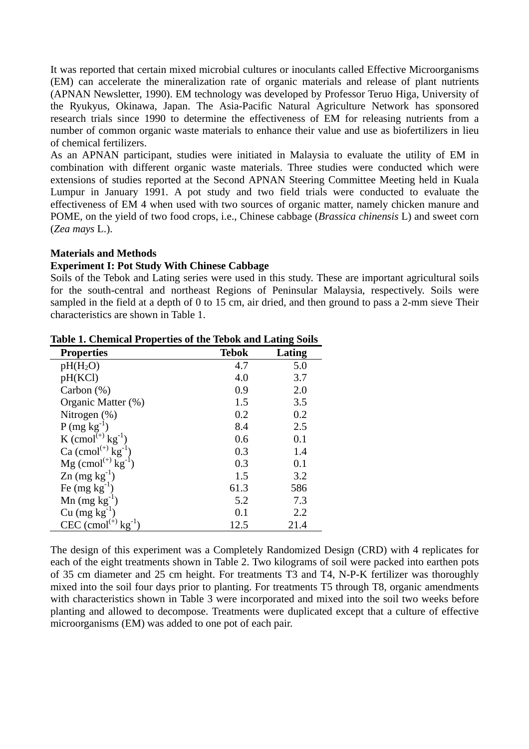It was reported that certain mixed microbial cultures or inoculants called Effective Microorganisms (EM) can accelerate the mineralization rate of organic materials and release of plant nutrients (APNAN Newsletter, 1990). EM technology was developed by Professor Teruo Higa, University of the Ryukyus, Okinawa, Japan. The Asia-Pacific Natural Agriculture Network has sponsored research trials since 1990 to determine the effectiveness of EM for releasing nutrients from a number of common organic waste materials to enhance their value and use as biofertilizers in lieu of chemical fertilizers.

As an APNAN participant, studies were initiated in Malaysia to evaluate the utility of EM in combination with different organic waste materials. Three studies were conducted which were extensions of studies reported at the Second APNAN Steering Committee Meeting held in Kuala Lumpur in January 1991. A pot study and two field trials were conducted to evaluate the effectiveness of EM 4 when used with two sources of organic matter, namely chicken manure and POME, on the yield of two food crops, i.e., Chinese cabbage (*Brassica chinensis* L) and sweet corn (*Zea mays* L.).

#### **Materials and Methods**

#### **Experiment I: Pot Study With Chinese Cabbage**

Soils of the Tebok and Lating series were used in this study. These are important agricultural soils for the south-central and northeast Regions of Peninsular Malaysia, respectively. Soils were sampled in the field at a depth of 0 to 15 cm, air dried, and then ground to pass a 2-mm sieve Their characteristics are shown in Table 1.

| <b>Properties</b>                         | <b>Tebok</b> | Lating |
|-------------------------------------------|--------------|--------|
| $pH(H_2O)$                                | 4.7          | 5.0    |
| pH(KCl)                                   | 4.0          | 3.7    |
| Carbon $(\%)$                             | 0.9          | 2.0    |
| Organic Matter (%)                        | 1.5          | 3.5    |
| Nitrogen $(\%)$                           | 0.2          | 0.2    |
| $P(mg kg^{-1})$                           | 8.4          | 2.5    |
| K $\text{(cmol}^{(+)} \text{kg}^{-1})$    | 0.6          | 0.1    |
| Ca $\text{(cmol}^{(+)} \text{kg}^{-1}$    | 0.3          | 1.4    |
| $Mg (cmol^{(+)} kg^{-1})$                 | 0.3          | 0.1    |
| $\text{Zn}$ (mg kg <sup>-1</sup> )        | 1.5          | 3.2    |
| Fe $(mg kg^{-1})$                         | 61.3         | 586    |
| $Mn$ (mg kg <sup>-1</sup> )               | 5.2          | 7.3    |
| $Cu$ (mg $kg^{-1}$ )                      | 0.1          | 2.2    |
| $CEC$ (cmol <sup><math>(+)</math></sup> ) | 12.5         | 21.4   |

**Table 1. Chemical Properties of the Tebok and Lating Soils** 

The design of this experiment was a Completely Randomized Design (CRD) with 4 replicates for each of the eight treatments shown in Table 2. Two kilograms of soil were packed into earthen pots of 35 cm diameter and 25 cm height. For treatments T3 and T4, N-P-K fertilizer was thoroughly mixed into the soil four days prior to planting. For treatments T5 through T8, organic amendments with characteristics shown in Table 3 were incorporated and mixed into the soil two weeks before planting and allowed to decompose. Treatments were duplicated except that a culture of effective microorganisms (EM) was added to one pot of each pair.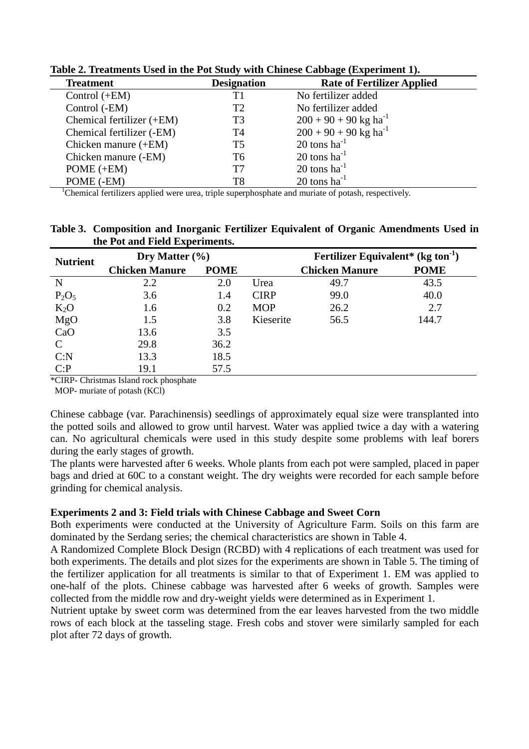| $\mathbf{r}$ and $\mathbf{r}$ are $\mathbf{r}$ and $\mathbf{r}$ are $\mathbf{r}$ . The $\mathbf{r}$ matrix $\mathbf{r}$ and $\mathbf{r}$ and $\mathbf{r}$ and $\mathbf{r}$ are $\mathbf{r}$ and $\mathbf{r}$ and $\mathbf{r}$ are $\mathbf{r}$ and $\mathbf{r}$ are $\mathbf{r}$ and $\mathbf{r}$ |                    |                                     |  |  |  |
|---------------------------------------------------------------------------------------------------------------------------------------------------------------------------------------------------------------------------------------------------------------------------------------------------|--------------------|-------------------------------------|--|--|--|
| <b>Treatment</b>                                                                                                                                                                                                                                                                                  | <b>Designation</b> | <b>Rate of Fertilizer Applied</b>   |  |  |  |
| Control $(+EM)$                                                                                                                                                                                                                                                                                   | T1                 | No fertilizer added                 |  |  |  |
| Control (-EM)                                                                                                                                                                                                                                                                                     | T2                 | No fertilizer added                 |  |  |  |
| Chemical fertilizer (+EM)                                                                                                                                                                                                                                                                         | T3                 | $200 + 90 + 90$ kg ha <sup>-1</sup> |  |  |  |
| Chemical fertilizer (-EM)                                                                                                                                                                                                                                                                         | T4                 | $200 + 90 + 90$ kg ha <sup>-1</sup> |  |  |  |
| Chicken manure $(+EM)$                                                                                                                                                                                                                                                                            | T5                 | 20 tons $ha^{-1}$                   |  |  |  |
| Chicken manure (-EM)                                                                                                                                                                                                                                                                              | T6                 | $20$ tons ha <sup>-1</sup>          |  |  |  |
| $POME (+EM)$                                                                                                                                                                                                                                                                                      | T7                 | $20$ tons ha <sup>-1</sup>          |  |  |  |
| POME (-EM)                                                                                                                                                                                                                                                                                        | T8                 | $20$ tons ha <sup>-1</sup>          |  |  |  |

**Table 2. Treatments Used in the Pot Study with Chinese Cabbage (Experiment 1).** 

<sup>1</sup>Chemical fertilizers applied were urea, triple superphosphate and muriate of potash, respectively.

| Table 3. Composition and Inorganic Fertilizer Equivalent of Organic Amendments Used in |  |
|----------------------------------------------------------------------------------------|--|
| the Pot and Field Experiments.                                                         |  |

| <b>Nutrient</b> | Dry Matter $(\% )$    |             |             | Fertilizer Equivalent* $(kg \text{ ton}^{-1})$ |             |
|-----------------|-----------------------|-------------|-------------|------------------------------------------------|-------------|
|                 | <b>Chicken Manure</b> | <b>POME</b> |             | <b>Chicken Manure</b>                          | <b>POME</b> |
| N               | 2.2                   | 2.0         | Urea        | 49.7                                           | 43.5        |
| $P_2O_5$        | 3.6                   | 1.4         | <b>CIRP</b> | 99.0                                           | 40.0        |
| $K_2O$          | 1.6                   | 0.2         | <b>MOP</b>  | 26.2                                           | 2.7         |
| MgO             | 1.5                   | 3.8         | Kieserite   | 56.5                                           | 144.7       |
| CaO             | 13.6                  | 3.5         |             |                                                |             |
|                 | 29.8                  | 36.2        |             |                                                |             |
| C: N            | 13.3                  | 18.5        |             |                                                |             |
| C: P            | 19.1                  | 57.5        |             |                                                |             |

\*CIRP- Christmas Island rock phosphate

MOP- muriate of potash (KCl)

Chinese cabbage (var. Parachinensis) seedlings of approximately equal size were transplanted into the potted soils and allowed to grow until harvest. Water was applied twice a day with a watering can. No agricultural chemicals were used in this study despite some problems with leaf borers during the early stages of growth.

The plants were harvested after 6 weeks. Whole plants from each pot were sampled, placed in paper bags and dried at 60C to a constant weight. The dry weights were recorded for each sample before grinding for chemical analysis.

### **Experiments 2 and 3: Field trials with Chinese Cabbage and Sweet Corn**

Both experiments were conducted at the University of Agriculture Farm. Soils on this farm are dominated by the Serdang series; the chemical characteristics are shown in Table 4.

A Randomized Complete Block Design (RCBD) with 4 replications of each treatment was used for both experiments. The details and plot sizes for the experiments are shown in Table 5. The timing of the fertilizer application for all treatments is similar to that of Experiment 1. EM was applied to one-half of the plots. Chinese cabbage was harvested after 6 weeks of growth. Samples were collected from the middle row and dry-weight yields were determined as in Experiment 1.

Nutrient uptake by sweet corm was determined from the ear leaves harvested from the two middle rows of each block at the tasseling stage. Fresh cobs and stover were similarly sampled for each plot after 72 days of growth.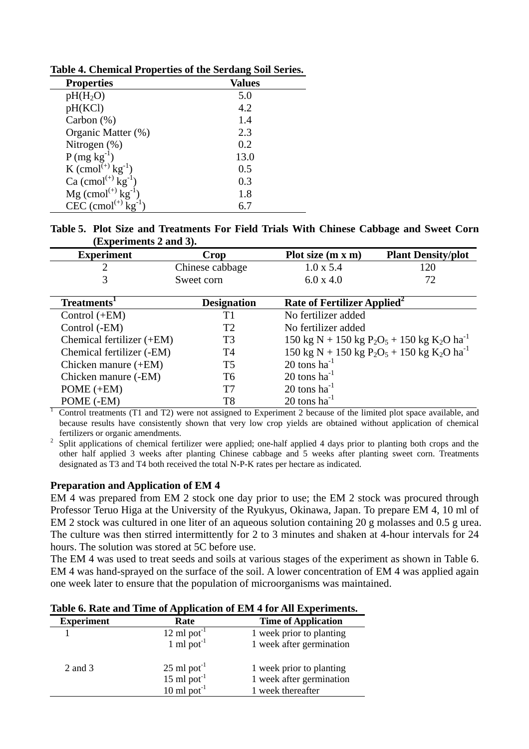| <b>Properties</b>                       | <b>Values</b> |
|-----------------------------------------|---------------|
| $pH(H_2O)$                              | 5.0           |
| pH(KCl)                                 | 4.2           |
| Carbon $(\%)$                           | 1.4           |
| Organic Matter (%)                      | 2.3           |
| Nitrogen $(\%)$                         | 0.2           |
| $P(mg kg^{-1})$                         | 13.0          |
| K $\text{(cmol}^{(+)} \text{kg}^{-1}$ ) | 0.5           |
| Ca $\text{(cmol}^{(+)} \text{kg}^{-1})$ | 0.3           |
| $Mg$ (cmol <sup>(+)</sup> $kg^{-1}$     | 1.8           |
| CEC $\text{(cmol}^{(+)} \text{kg}^{-1}$ |               |

**Table 4. Chemical Properties of the Serdang Soil Series.** 

**Table 5. Plot Size and Treatments For Field Trials With Chinese Cabbage and Sweet Corn (Experiments 2 and 3).** 

| <b>Experiment</b> | Crop            | Plot size $(m x m)$ | <b>Plant Density/plot</b> |
|-------------------|-----------------|---------------------|---------------------------|
|                   | Chinese cabbage | $1.0 \times 5.4$    |                           |
|                   | Sweet corn      | $6.0 \times 4.0$    |                           |

| Treatments <sup>1</sup>   | <b>Designation</b> | Rate of Fertilizer Applied <sup>2</sup>                                                    |
|---------------------------|--------------------|--------------------------------------------------------------------------------------------|
| Control $(+EM)$           | Τ1                 | No fertilizer added                                                                        |
| Control (-EM)             | T2                 | No fertilizer added                                                                        |
| Chemical fertilizer (+EM) | T3                 | 150 kg N + 150 kg P <sub>2</sub> O <sub>5</sub> + 150 kg K <sub>2</sub> O ha <sup>-1</sup> |
| Chemical fertilizer (-EM) | T4                 | 150 kg N + 150 kg P <sub>2</sub> O <sub>5</sub> + 150 kg K <sub>2</sub> O ha <sup>-1</sup> |
| Chicken manure $(+EM)$    | T5                 | 20 tons $ha^{-1}$                                                                          |
| Chicken manure (-EM)      | T6                 | $20 \text{ tons} \text{ ha}^{-1}$                                                          |
| POME $(+EM)$              | T7                 | $20 \text{ tons} \text{ ha}^{-1}$                                                          |
| POME (-EM)                | T8                 | 20 tons $ha^{-1}$                                                                          |

1 Control treatments (T1 and T2) were not assigned to Experiment 2 because of the limited plot space available, and because results have consistently shown that very low crop yields are obtained without application of chemical

fertilizers or organic amendments.<br><sup>2</sup> Split applications of chemical fertilizer were applied; one-half applied 4 days prior to planting both crops and the other half applied 3 weeks after planting Chinese cabbage and 5 weeks after planting sweet corn. Treatments designated as T3 and T4 both received the total N-P-K rates per hectare as indicated.

# **Preparation and Application of EM 4**

EM 4 was prepared from EM 2 stock one day prior to use; the EM 2 stock was procured through Professor Teruo Higa at the University of the Ryukyus, Okinawa, Japan. To prepare EM 4, 10 ml of EM 2 stock was cultured in one liter of an aqueous solution containing 20 g molasses and 0.5 g urea. The culture was then stirred intermittently for 2 to 3 minutes and shaken at 4-hour intervals for 24 hours. The solution was stored at 5C before use.

The EM 4 was used to treat seeds and soils at various stages of the experiment as shown in Table 6. EM 4 was hand-sprayed on the surface of the soil. A lower concentration of EM 4 was applied again one week later to ensure that the population of microorganisms was maintained.

| Table v. Nate and Thile of Application of East <del>+</del> for All Experiments. |                                   |                            |  |  |
|----------------------------------------------------------------------------------|-----------------------------------|----------------------------|--|--|
| <b>Experiment</b>                                                                | Rate                              | <b>Time of Application</b> |  |  |
|                                                                                  | $12 \text{ ml}$ pot <sup>-1</sup> | 1 week prior to planting   |  |  |
|                                                                                  | 1 ml pot $^{-1}$                  | 1 week after germination   |  |  |
| 2 and 3                                                                          | $25 \text{ ml}$ pot <sup>-1</sup> | 1 week prior to planting   |  |  |
|                                                                                  | 15 ml pot $^{-1}$                 | 1 week after germination   |  |  |
|                                                                                  | 10 ml $pot^{-1}$                  | 1 week thereafter          |  |  |

### **Table 6. Rate and Time of Application of EM 4 for All Experiments.**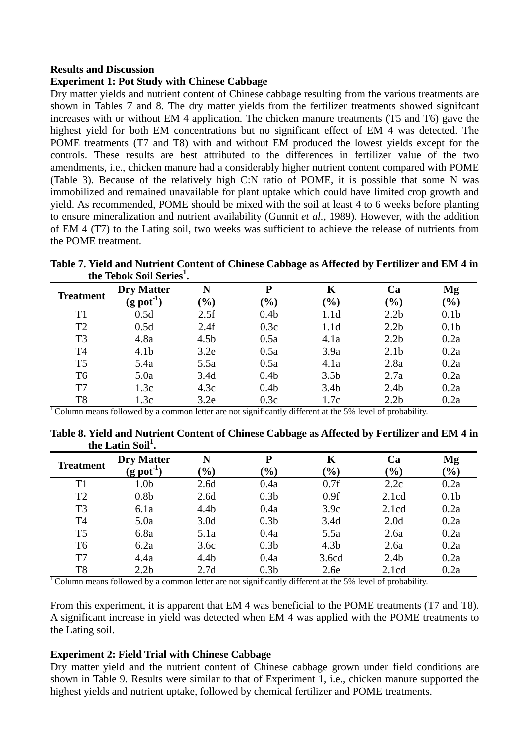### **Results and Discussion**

#### **Experiment 1: Pot Study with Chinese Cabbage**

Dry matter yields and nutrient content of Chinese cabbage resulting from the various treatments are shown in Tables 7 and 8. The dry matter yields from the fertilizer treatments showed signifcant increases with or without EM 4 application. The chicken manure treatments (T5 and T6) gave the highest yield for both EM concentrations but no significant effect of EM 4 was detected. The POME treatments (T7 and T8) with and without EM produced the lowest yields except for the controls. These results are best attributed to the differences in fertilizer value of the two amendments, i.e., chicken manure had a considerably higher nutrient content compared with POME (Table 3). Because of the relatively high C:N ratio of POME, it is possible that some N was immobilized and remained unavailable for plant uptake which could have limited crop growth and yield. As recommended, POME should be mixed with the soil at least 4 to 6 weeks before planting to ensure mineralization and nutrient availability (Gunnit *et al*., 1989). However, with the addition of EM 4 (T7) to the Lating soil, two weeks was sufficient to achieve the release of nutrients from the POME treatment.

**Table 7. Yield and Nutrient Content of Chinese Cabbage as Affected by Fertilizer and EM 4 in the Tebok Soil Series1 .** 

| <b>Treatment</b> | <b>Dry Matter</b><br>$(g$ pot <sup>-1</sup> | N<br>$\mathcal{O}_0$ | P<br>$(\%)$      | K<br>$(\%)$      | Ca<br>$\frac{9}{0}$ | Mg<br>(%)        |
|------------------|---------------------------------------------|----------------------|------------------|------------------|---------------------|------------------|
| T1               | 0.5d                                        | 2.5f                 | 0.4 <sub>b</sub> | 1.1 <sub>d</sub> | 2.2 <sub>b</sub>    | 0.1 <sub>b</sub> |
| T <sub>2</sub>   | 0.5d                                        | 2.4f                 | 0.3c             | 1.1 <sub>d</sub> | 2.2 <sub>b</sub>    | 0.1 <sub>b</sub> |
| T <sub>3</sub>   | 4.8a                                        | 4.5 <sub>b</sub>     | 0.5a             | 4.1a             | 2.2 <sub>b</sub>    | 0.2a             |
| T <sub>4</sub>   | 4.1 <sub>b</sub>                            | 3.2e                 | 0.5a             | 3.9a             | 2.1 <sub>b</sub>    | 0.2a             |
| T <sub>5</sub>   | 5.4a                                        | 5.5a                 | 0.5a             | 4.1a             | 2.8a                | 0.2a             |
| T <sub>6</sub>   | 5.0a                                        | 3.4d                 | 0.4 <sub>b</sub> | 3.5 <sub>b</sub> | 2.7a                | 0.2a             |
| T7               | 1.3c                                        | 4.3c                 | 0.4 <sub>b</sub> | 3.4 <sub>b</sub> | 2.4 <sub>b</sub>    | 0.2a             |
| T <sub>8</sub>   | 1.3c                                        | 3.2e                 | 0.3c             | 1.7c             | 2.2 <sub>b</sub>    | 0.2a             |

 $\overline{C}$  Column means followed by a common letter are not significantly different at the 5% level of probability.

**Table 8. Yield and Nutrient Content of Chinese Cabbage as Affected by Fertilizer and EM 4 in the Latin Soil<sup>1</sup> .** 

| <b>Treatment</b> | <b>Dry Matter</b><br>$(g$ pot <sup>-1</sup> ) | N<br>$(\%)$      | P<br>$\left( \frac{0}{0} \right)$ | K<br>$(\%)$      | Ca<br>$(\%)$     | Mg<br>$\frac{9}{0}$ |
|------------------|-----------------------------------------------|------------------|-----------------------------------|------------------|------------------|---------------------|
|                  |                                               |                  |                                   |                  |                  |                     |
| T1               | 1.0 <sub>b</sub>                              | 2.6d             | 0.4a                              | 0.7f             | 2.2c             | 0.2a                |
| T <sub>2</sub>   | 0.8 <sub>b</sub>                              | 2.6d             | 0.3 <sub>b</sub>                  | 0.9f             | 2.1cd            | 0.1 <sub>b</sub>    |
| T <sub>3</sub>   | 6.1a                                          | 4.4 <sub>b</sub> | 0.4a                              | 3.9c             | 2.1cd            | 0.2a                |
| T <sub>4</sub>   | 5.0a                                          | 3.0 <sub>d</sub> | 0.3 <sub>b</sub>                  | 3.4d             | 2.0 <sub>d</sub> | 0.2a                |
| T <sub>5</sub>   | 6.8a                                          | 5.1a             | 0.4a                              | 5.5a             | 2.6a             | 0.2a                |
| T <sub>6</sub>   | 6.2a                                          | 3.6c             | 0.3 <sub>b</sub>                  | 4.3 <sub>b</sub> | 2.6a             | 0.2a                |
| T7               | 4.4a                                          | 4.4 <sub>b</sub> | 0.4a                              | 3.6cd            | 2.4 <sub>b</sub> | 0.2a                |
| T <sub>8</sub>   | 2.2 <sub>b</sub>                              | 2.7d             | 0.3 <sub>b</sub>                  | 2.6e             | 2.1cd            | 0.2a                |

 $\overline{C}$  Column means followed by a common letter are not significantly different at the 5% level of probability.

From this experiment, it is apparent that EM 4 was beneficial to the POME treatments (T7 and T8). A significant increase in yield was detected when EM 4 was applied with the POME treatments to the Lating soil.

#### **Experiment 2: Field Trial with Chinese Cabbage**

Dry matter yield and the nutrient content of Chinese cabbage grown under field conditions are shown in Table 9. Results were similar to that of Experiment 1, i.e., chicken manure supported the highest yields and nutrient uptake, followed by chemical fertilizer and POME treatments.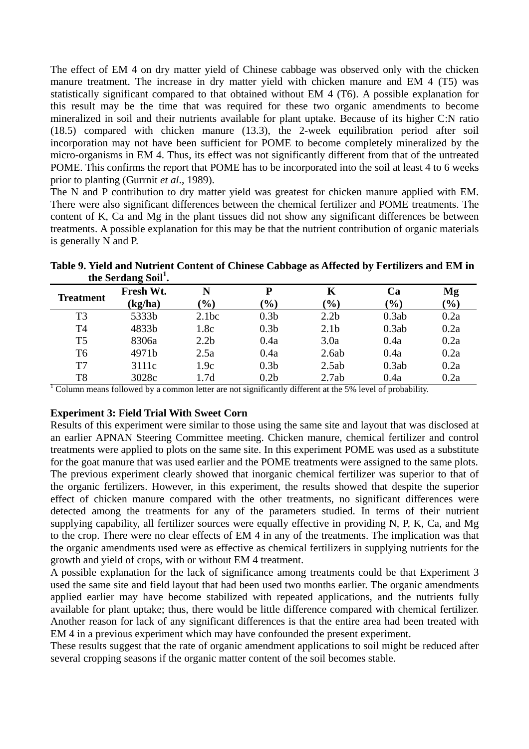The effect of EM 4 on dry matter yield of Chinese cabbage was observed only with the chicken manure treatment. The increase in dry matter yield with chicken manure and EM 4 (T5) was statistically significant compared to that obtained without EM 4 (T6). A possible explanation for this result may be the time that was required for these two organic amendments to become mineralized in soil and their nutrients available for plant uptake. Because of its higher C:N ratio (18.5) compared with chicken manure (13.3), the 2-week equilibration period after soil incorporation may not have been sufficient for POME to become completely mineralized by the micro-organisms in EM 4. Thus, its effect was not significantly different from that of the untreated POME. This confirms the report that POME has to be incorporated into the soil at least 4 to 6 weeks prior to planting (Gurrnit *et al*., 1989).

The N and P contribution to dry matter yield was greatest for chicken manure applied with EM. There were also significant differences between the chemical fertilizer and POME treatments. The content of K, Ca and Mg in the plant tissues did not show any significant differences be between treatments. A possible explanation for this may be that the nutrient contribution of organic materials is generally N and P.

|                                 |  | Table 9. Yield and Nutrient Content of Chinese Cabbage as Affected by Fertilizers and EM in |
|---------------------------------|--|---------------------------------------------------------------------------------------------|
| the Serdang Soil <sup>1</sup> . |  |                                                                                             |

| <b>Treatment</b>                                                                                         | Fresh Wt. |                  | P                            | K                | Ca                           | Mg     |
|----------------------------------------------------------------------------------------------------------|-----------|------------------|------------------------------|------------------|------------------------------|--------|
|                                                                                                          | (kg/ha)   | $\frac{1}{2}$    | $\left( \frac{0}{0} \right)$ | $($ %)           | $\left( \frac{0}{0} \right)$ | $(\%)$ |
| T <sub>3</sub>                                                                                           | 5333b     | 2.1bc            | 0.3 <sub>b</sub>             | 2.2 <sub>b</sub> | 0.3ab                        | 0.2a   |
| <b>T4</b>                                                                                                | 4833b     | 1.8c             | 0.3 <sub>b</sub>             | 2.1 <sub>b</sub> | 0.3ab                        | 0.2a   |
| T <sub>5</sub>                                                                                           | 8306a     | 2.2 <sub>b</sub> | 0.4a                         | 3.0a             | 0.4a                         | 0.2a   |
| T6                                                                                                       | 4971b     | 2.5a             | 0.4a                         | 2.6ab            | 0.4a                         | 0.2a   |
| T7                                                                                                       | 3111c     | 1.9c             | 0.3 <sub>b</sub>             | 2.5ab            | 0.3ab                        | 0.2a   |
| T <sub>8</sub>                                                                                           | 3028c     | 1.7d             | 0.2 <sub>b</sub>             | 2.7ab            | 0.4a                         | 0.2a   |
| Column means followed by a common letter are not significantly different at the 5% level of probability. |           |                  |                              |                  |                              |        |

### **Experiment 3: Field Trial With Sweet Corn**

Results of this experiment were similar to those using the same site and layout that was disclosed at an earlier APNAN Steering Committee meeting. Chicken manure, chemical fertilizer and control treatments were applied to plots on the same site. In this experiment POME was used as a substitute for the goat manure that was used earlier and the POME treatments were assigned to the same plots. The previous experiment clearly showed that inorganic chemical fertilizer was superior to that of the organic fertilizers. However, in this experiment, the results showed that despite the superior effect of chicken manure compared with the other treatments, no significant differences were detected among the treatments for any of the parameters studied. In terms of their nutrient supplying capability, all fertilizer sources were equally effective in providing N, P, K, Ca, and Mg to the crop. There were no clear effects of EM 4 in any of the treatments. The implication was that the organic amendments used were as effective as chemical fertilizers in supplying nutrients for the growth and yield of crops, with or without EM 4 treatment.

A possible explanation for the lack of significance among treatments could be that Experiment 3 used the same site and field layout that had been used two months earlier. The organic amendments applied earlier may have become stabilized with repeated applications, and the nutrients fully available for plant uptake; thus, there would be little difference compared with chemical fertilizer. Another reason for lack of any significant differences is that the entire area had been treated with EM 4 in a previous experiment which may have confounded the present experiment.

These results suggest that the rate of organic amendment applications to soil might be reduced after several cropping seasons if the organic matter content of the soil becomes stable.